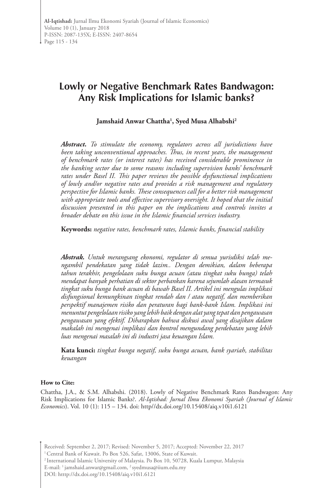# **Lowly or Negative Benchmark Rates Bandwagon: Any Risk Implications for Islamic banks?**

### **Jamshaid Anwar Chattha1 , Syed Musa Alhabshi2**

*Abstract. To stimulate the economy, regulators across all jurisdictions have been taking unconventional approaches. Thus, in recent years, the management of benchmark rates (or interest rates) has received considerable prominence in the banking sector due to some reasons including supervision banks' benchmark rates under Basel II. This paper reviews the possible dysfunctional implications of lowly and/or negative rates and provides a risk management and regulatory perspective for Islamic banks. These consequences call for a better risk management with appropriate tools and effective supervisory oversight. It hoped that the initial discussion presented in this paper on the implications and controls invites a broader debate on this issue in the Islamic financial services industry.* 

**Keywords:** *negative rates, benchmark rates, Islamic banks, financial stability*

*Abstrak. Untuk merangsang ekonomi, regulator di semua yurisdiksi telah mengambil pendekatan yang tidak lazim.. Dengan demikian, dalam beberapa tahun terakhir, pengelolaan suku bunga acuan (atau tingkat suku bunga) telah mendapat banyak perhatian di sektor perbankan karena sejumlah alasan termasuk tingkat suku bunga bank acuan di bawah Basel II. Artikel ini mengulas implikasi disfungsional kemungkinan tingkat rendah dan / atau negatif, dan memberikan perspektif manajemen risiko dan peraturan bagi bank-bank Islam. Implikasi ini menuntut pengelolaan risiko yang lebih baik dengan alat yang tepat dan pengawasan pengawasan yang efektif. Diharapkan bahwa diskusi awal yang disajikan dalam makalah ini mengenai implikasi dan kontrol mengundang perdebatan yang lebih luas mengenai masalah ini di industri jasa keuangan Islam.*

**Kata kunci:** *tingkat bunga negatif, suku bunga acuan, bank syariah, stabilitas keuangan*

#### **How to Cite:**

Chattha, J.A., & S.M. Alhabshi. (2018). Lowly of Negative Benchmark Rates Bandwagon: Any Risk Implications for Islamic Banks?. *Al-Iqtishad: Jurnal Ilmu Ekonomi Syariah (Journal of Islamic Economics*). Vol. 10 (1): 115 – 134. doi: http//dx.doi.org/10.15408/aiq.v10i1.6121

Received: September 2, 2017; Revised: November 5, 2017; Accepted: November 22, 2017

<sup>1</sup> Central Bank of Kuwait. Po Box 526, Safat, 13006, State of Kuwait.

2 International Islamic University of Malaysia. Po Box 10, 50728, Kuala Lumpur, Malaysia

E-mail: 1 jamshaid.anwar@gmail.com, 2 syedmusa@iium.edu.my

DOI: htttp://dx.doi.org/10.15408/aiq.v10i1.6121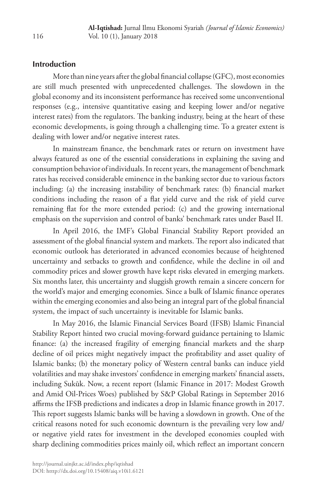# **Introduction**

More than nine years after the global financial collapse (GFC), most economies are still much presented with unprecedented challenges. The slowdown in the global economy and its inconsistent performance has received some unconventional responses (e.g., intensive quantitative easing and keeping lower and/or negative interest rates) from the regulators. The banking industry, being at the heart of these economic developments, is going through a challenging time. To a greater extent is dealing with lower and/or negative interest rates.

In mainstream finance, the benchmark rates or return on investment have always featured as one of the essential considerations in explaining the saving and consumption behavior of individuals. In recent years, the management of benchmark rates has received considerable eminence in the banking sector due to various factors including: (a) the increasing instability of benchmark rates: (b) financial market conditions including the reason of a flat yield curve and the risk of yield curve remaining flat for the more extended period: (c) and the growing international emphasis on the supervision and control of banks' benchmark rates under Basel II.

In April 2016, the IMF's Global Financial Stability Report provided an assessment of the global financial system and markets. The report also indicated that economic outlook has deteriorated in advanced economies because of heightened uncertainty and setbacks to growth and confidence, while the decline in oil and commodity prices and slower growth have kept risks elevated in emerging markets. Six months later, this uncertainty and sluggish growth remain a sincere concern for the world's major and emerging economies. Since a bulk of Islamic finance operates within the emerging economies and also being an integral part of the global financial system, the impact of such uncertainty is inevitable for Islamic banks.

In May 2016, the Islamic Financial Services Board (IFSB) Islamic Financial Stability Report hinted two crucial moving-forward guidance pertaining to Islamic finance: (a) the increased fragility of emerging financial markets and the sharp decline of oil prices might negatively impact the profitability and asset quality of Islamic banks; (b) the monetary policy of Western central banks can induce yield volatilities and may shake investors' confidence in emerging markets' financial assets, including Sukūk. Now, a recent report (Islamic Finance in 2017: Modest Growth and Amid Oil-Prices Woes) published by S&P Global Ratings in September 2016 affirms the IFSB predictions and indicates a drop in Islamic finance growth in 2017. This report suggests Islamic banks will be having a slowdown in growth. One of the critical reasons noted for such economic downturn is the prevailing very low and/ or negative yield rates for investment in the developed economies coupled with sharp declining commodities prices mainly oil, which reflect an important concern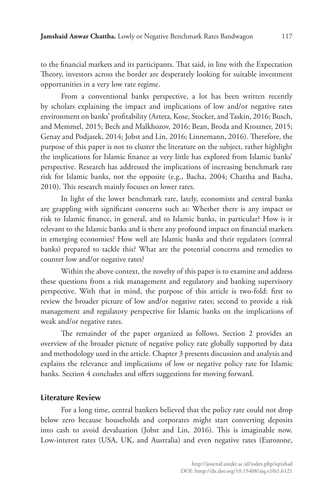to the financial markets and its participants. That said, in line with the Expectation Theory, investors across the border are desperately looking for suitable investment opportunities in a very low rate regime.

From a conventional banks perspective, a lot has been written recently by scholars explaining the impact and implications of low and/or negative rates environment on banks' profitability (Arteta, Kose, Stocker, and Taskin, 2016; Busch, and Memmel, 2015; Bech and Malkhozov, 2016; Bean, Broda and Kroszner, 2015; Genay and Podjasek, 2014; Jobst and Lin, 2016; Linnemann, 2016). Therefore, the purpose of this paper is not to cluster the literature on the subject, rather highlight the implications for Islamic finance as very little has explored from Islamic banks' perspective. Research has addressed the implications of increasing benchmark rate risk for Islamic banks, not the opposite (e.g., Bacha, 2004; Chattha and Bacha, 2010). This research mainly focuses on lower rates.

In light of the lower benchmark rate, lately, economists and central banks are grappling with significant concerns such as: Whether there is any impact or risk to Islamic finance, in general, and to Islamic banks, in particular? How is it relevant to the Islamic banks and is there any profound impact on financial markets in emerging economies? How well are Islamic banks and their regulators (central banks) prepared to tackle this? What are the potential concerns and remedies to counter low and/or negative rates?

Within the above context, the novelty of this paper is to examine and address these questions from a risk management and regulatory and banking supervisory perspective. With that in mind, the purpose of this article is two-fold: first to review the broader picture of low and/or negative rates; second to provide a risk management and regulatory perspective for Islamic banks on the implications of weak and/or negative rates.

The remainder of the paper organized as follows. Section 2 provides an overview of the broader picture of negative policy rate globally supported by data and methodology used in the article. Chapter 3 presents discussion and analysis and explains the relevance and implications of low or negative policy rate for Islamic banks. Section 4 concludes and offers suggestions for moving forward.

#### **Literature Review**

For a long time, central bankers believed that the policy rate could not drop below zero because households and corporates might start converting deposits into cash to avoid devaluation (Jobst and Lin, 2016). This is imaginable now. Low-interest rates (USA, UK, and Australia) and even negative rates (Eurozone,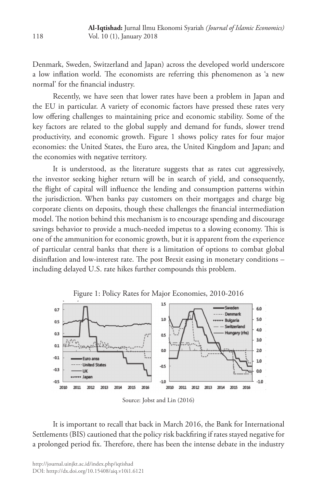Denmark, Sweden, Switzerland and Japan) across the developed world underscore a low inflation world. The economists are referring this phenomenon as 'a new normal' for the financial industry.

Recently, we have seen that lower rates have been a problem in Japan and the EU in particular. A variety of economic factors have pressed these rates very low offering challenges to maintaining price and economic stability. Some of the key factors are related to the global supply and demand for funds, slower trend productivity, and economic growth. Figure 1 shows policy rates for four major economies: the United States, the Euro area, the United Kingdom and Japan; and the economies with negative territory.

It is understood, as the literature suggests that as rates cut aggressively, the investor seeking higher return will be in search of yield, and consequently, the flight of capital will influence the lending and consumption patterns within the jurisdiction. When banks pay customers on their mortgages and charge big corporate clients on deposits, though these challenges the financial intermediation model. The notion behind this mechanism is to encourage spending and discourage savings behavior to provide a much-needed impetus to a slowing economy. This is one of the ammunition for economic growth, but it is apparent from the experience of particular central banks that there is a limitation of options to combat global disinflation and low-interest rate. The post Brexit easing in monetary conditions – including delayed U.S. rate hikes further compounds this problem.



Figure 1: Policy Rates for Major Economies, 2010-2016

It is important to recall that back in March 2016, the Bank for International Settlements (BIS) cautioned that the policy risk backfiring if rates stayed negative for a prolonged period fix. Therefore, there has been the intense debate in the industry

Source: Jobst and Lin (2016)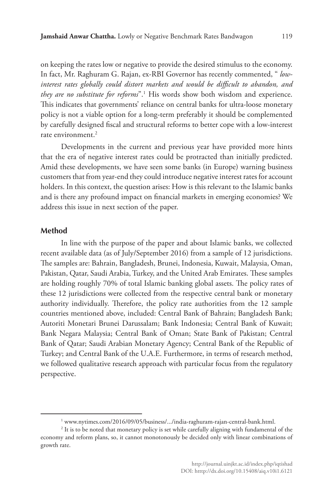on keeping the rates low or negative to provide the desired stimulus to the economy. In fact, Mr. Raghuram G. Rajan, ex-RBI Governor has recently commented, " *lowinterest rates globally could distort markets and would be difficult to abandon, and they are no substitute for reforms*".1 His words show both wisdom and experience. This indicates that governments' reliance on central banks for ultra-loose monetary policy is not a viable option for a long-term preferably it should be complemented by carefully designed fiscal and structural reforms to better cope with a low-interest rate environment $^2$ 

Developments in the current and previous year have provided more hints that the era of negative interest rates could be protracted than initially predicted. Amid these developments, we have seen some banks (in Europe) warning business customers that from year-end they could introduce negative interest rates for account holders. In this context, the question arises: How is this relevant to the Islamic banks and is there any profound impact on financial markets in emerging economies? We address this issue in next section of the paper.

#### **Method**

In line with the purpose of the paper and about Islamic banks, we collected recent available data (as of July/September 2016) from a sample of 12 jurisdictions. The samples are: Bahrain, Bangladesh, Brunei, Indonesia, Kuwait, Malaysia, Oman, Pakistan, Qatar, Saudi Arabia, Turkey, and the United Arab Emirates. These samples are holding roughly 70% of total Islamic banking global assets. The policy rates of these 12 jurisdictions were collected from the respective central bank or monetary authority individually. Therefore, the policy rate authorities from the 12 sample countries mentioned above, included: Central Bank of Bahrain; Bangladesh Bank; Autoriti Monetari Brunei Darussalam; Bank Indonesia; Central Bank of Kuwait; Bank Negara Malaysia; Central Bank of Oman; State Bank of Pakistan; Central Bank of Qatar; Saudi Arabian Monetary Agency; Central Bank of the Republic of Turkey; and Central Bank of the U.A.E. Furthermore, in terms of research method, we followed qualitative research approach with particular focus from the regulatory perspective.

<sup>1</sup> www.nytimes.com/2016/09/05/business/.../india-raghuram-rajan-central-bank.html.

<sup>2</sup> It is to be noted that monetary policy is set while carefully aligning with fundamental of the economy and reform plans, so, it cannot monotonously be decided only with linear combinations of growth rate.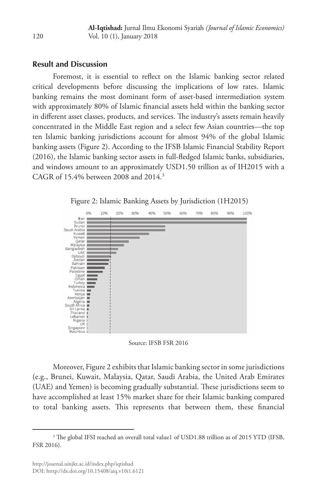## **Result and Discussion**

Foremost, it is essential to reflect on the Islamic banking sector related critical developments before discussing the implications of low rates. Islamic banking remains the most dominant form of asset-based intermediation system with approximately 80% of Islamic financial assets held within the banking sector in different asset classes, products, and services. The industry's assets remain heavily concentrated in the Middle East region and a select few Asian countries—the top ten Islamic banking jurisdictions account for almost 94% of the global Islamic banking assets (Figure 2). According to the IFSB Islamic Financial Stability Report (2016), the Islamic banking sector assets in full-fledged Islamic banks, subsidiaries, and windows amount to an approximately USD1.50 trillion as of IH2015 with a CAGR of 15.4% between 2008 and 2014.3



Figure 2: Islamic Banking Assets by Jurisdiction (1H2015)

Source: IFSB FSR 2016

Moreover, Figure 2 exhibits that Islamic banking sector in some jurisdictions (e.g., Brunei, Kuwait, Malaysia, Qatar, Saudi Arabia, the United Arab Emirates (UAE) and Yemen) is becoming gradually substantial. These jurisdictions seem to have accomplished at least 15% market share for their Islamic banking compared to total banking assets. This represents that between them, these financial

<sup>&</sup>lt;sup>3</sup> The global IFSI reached an overall total value1 of USD1.88 trillion as of 2015 YTD (IFSB, FSR 2016).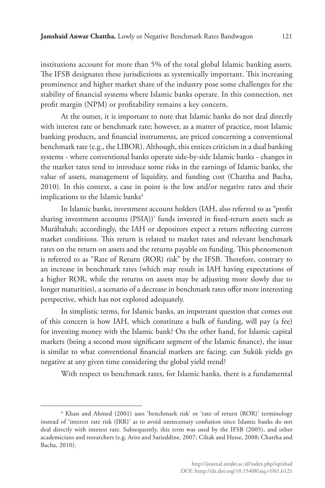institutions account for more than 5% of the total global Islamic banking assets. The IFSB designates these jurisdictions as systemically important. This increasing prominence and higher market share of the industry pose some challenges for the stability of financial systems where Islamic banks operate. In this connection, net profit margin (NPM) or profitability remains a key concern.

At the outset, it is important to note that Islamic banks do not deal directly with interest rate or benchmark rate; however, as a matter of practice, most Islamic banking products, and financial instruments, are priced concerning a conventional benchmark rate (e.g., the LIBOR). Although, this entices criticism in a dual banking systems - where conventional banks operate side-by-side Islamic banks - changes in the market rates tend to introduce some risks in the earnings of Islamic banks, the value of assets, management of liquidity, and funding cost (Chattha and Bacha, 2010). In this context, a case in point is the low and/or negative rates and their implications to the Islamic banks<sup>4</sup>

In Islamic banks, investment account holders (IAH, also referred to as "profit sharing investment accounts (PSIA))' funds invested in fixed-return assets such as Murābahah; accordingly, the IAH or depositors expect a return reflecting current market conditions. This return is related to market rates and relevant benchmark rates on the return on assets and the returns payable on funding. This phenomenon is referred to as "Rate of Return (ROR) risk" by the IFSB. Therefore, contrary to an increase in benchmark rates (which may result in IAH having expectations of a higher ROR, while the returns on assets may be adjusting more slowly due to longer maturities), a scenario of a decrease in benchmark rates offer more interesting perspective, which has not explored adequately.

In simplistic terms, for Islamic banks, an important question that comes out of this concern is how IAH, which constitute a bulk of funding, will pay (a fee) for investing money with the Islamic bank? On the other hand, for Islamic capital markets (being a second most significant segment of the Islamic finance), the issue is similar to what conventional financial markets are facing: can Sukūk yields go negative at any given time considering the global yield trend?

With respect to benchmark rates, for Islamic banks, there is a fundamental

<sup>4</sup> Khan and Ahmed (2001) uses 'benchmark risk' or 'rate of return (ROR)' terminology instead of 'interest rate risk (IRR)' as to avoid unnecessary confusion since Islamic banks do not deal directly with interest rate. Subsequently, this term was used by the IFSB (2005), and other academicians and researchers (e.g. Ariss and Sarieddine, 2007; Cihak and Hesse, 2008; Chattha and Bacha, 2010).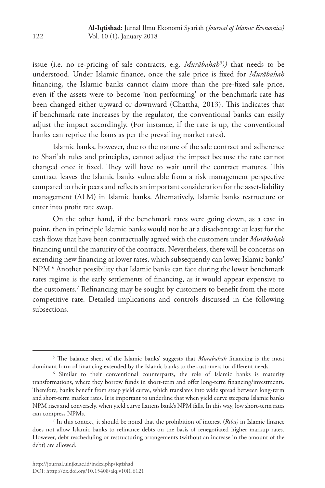issue (i.e. no re-pricing of sale contracts, e.g. *Murābahah5 ))* that needs to be understood. Under Islamic finance, once the sale price is fixed for *Murābahah* financing, the Islamic banks cannot claim more than the pre-fixed sale price, even if the assets were to become 'non-performing' or the benchmark rate has been changed either upward or downward (Chattha, 2013). This indicates that if benchmark rate increases by the regulator, the conventional banks can easily adjust the impact accordingly. (For instance, if the rate is up, the conventional banks can reprice the loans as per the prevailing market rates).

Islamic banks, however, due to the nature of the sale contract and adherence to Shari'ah rules and principles, cannot adjust the impact because the rate cannot changed once it fixed. They will have to wait until the contract matures. This contract leaves the Islamic banks vulnerable from a risk management perspective compared to their peers and reflects an important consideration for the asset-liability management (ALM) in Islamic banks. Alternatively, Islamic banks restructure or enter into profit rate swap.

On the other hand, if the benchmark rates were going down, as a case in point, then in principle Islamic banks would not be at a disadvantage at least for the cash flows that have been contractually agreed with the customers under *Murābahah* financing until the maturity of the contracts. Nevertheless, there will be concerns on extending new financing at lower rates, which subsequently can lower Islamic banks' NPM.6 Another possibility that Islamic banks can face during the lower benchmark rates regime is the early settlements of financing, as it would appear expensive to the customers.7 Refinancing may be sought by customers to benefit from the more competitive rate. Detailed implications and controls discussed in the following subsections.

<sup>5</sup> The balance sheet of the Islamic banks' suggests that *Murābahah* financing is the most dominant form of financing extended by the Islamic banks to the customers for different needs. 6

 $6$  Similar to their conventional counterparts, the role of Islamic banks is maturity transformations, where they borrow funds in short-term and offer long-term financing/investments. Therefore, banks benefit from steep yield curve, which translates into wide spread between long-term and short-term market rates. It is important to underline that when yield curve steepens Islamic banks NPM rises and conversely, when yield curve flattens bank's NPM falls. In this way, low short-term rates can compress NPMs.

 $\frac{1}{1}$  In this context, it should be noted that the prohibition of interest (*Riba*) in Islamic finance does not allow Islamic banks to refinance debts on the basis of renegotiated higher markup rates. However, debt rescheduling or restructuring arrangements (without an increase in the amount of the debt) are allowed.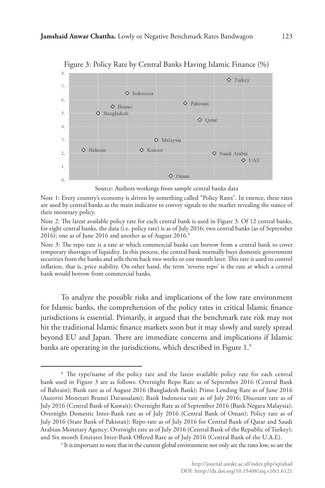

Figure 3: Policy Rate by Central Banks Having Islamic Finance (%)

Source: Authors workings from sample central banks data

Note 1: Every country's economy is driven by something called "Policy Rates". In essence, these rates are used by central banks as the main indicator to convey signals to the market revealing the stance of their monetary policy.

Note 2: The latest available policy rate for each central bank is used in Figure 3. Of 12 central banks, for eight central banks, the data (i.e. policy rate) is as of July 2016; two central banks (as of September 2016); one as of June 2016 and another as of August 2016.<sup>8</sup>

Note 3: The repo rate is a rate at which commercial banks can borrow from a central bank to cover temporary shortages of liquidity. In this process, the central bank normally buys domestic government securities from the banks and sells them back two weeks or one month later. This rate is used to control inflation, that is, price stability. On other hand, the term 'reverse repo' is the rate at which a central bank would borrow from commercial banks.

To analyze the possible risks and implications of the low rate environment for Islamic banks, the comprehension of the policy rates in critical Islamic finance jurisdictions is essential. Primarily, it argued that the benchmark rate risk may not hit the traditional Islamic finance markets soon but it may slowly and surely spread beyond EU and Japan. There are immediate concerns and implications if Islamic banks are operating in the jurisdictions, which described in Figure 1.<sup>9</sup>

<sup>&</sup>lt;sup>8</sup> The type/name of the policy rate and the latest available policy rate for each central bank used in Figure 3 are as follows: Overnight Repo Rate as of September 2016 (Central Bank of Bahrain); Bank rate as of August 2016 (Bangladesh Bank); Prime Lending Rate as of June 2016 (Autoriti Monetari Brunei Darussalam); Bank Indonesia rate as of July 2016; Discount rate as of July 2016 (Central Bank of Kuwait); Overnight Rate as of September 2016 (Bank Negara Malaysia); Overnight Domestic Inter-Bank rate as of July 2016 (Central Bank of Oman); Policy rate as of July 2016 (State Bank of Pakistan); Repo rate as of July 2016 for Central Bank of Qatar and Saudi Arabian Monetary Agency; Overnight rate as of July 2016 (Central Bank of the Republic of Turkey); and Six month Emirates Inter-Bank Offered Rate as of July 2016 (Central Bank of the U.A.E). 9

<sup>&</sup>lt;sup>9</sup> It is important to note that in the current global environment not only are the rates low, so are the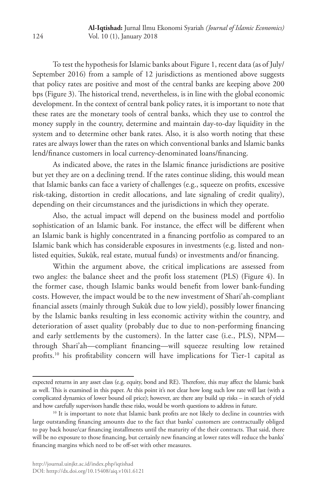To test the hypothesis for Islamic banks about Figure 1, recent data (as of July/ September 2016) from a sample of 12 jurisdictions as mentioned above suggests that policy rates are positive and most of the central banks are keeping above 200 bps (Figure 3). The historical trend, nevertheless, is in line with the global economic development. In the context of central bank policy rates, it is important to note that these rates are the monetary tools of central banks, which they use to control the money supply in the country, determine and maintain day-to-day liquidity in the system and to determine other bank rates. Also, it is also worth noting that these rates are always lower than the rates on which conventional banks and Islamic banks lend/finance customers in local currency-denominated loans/financing.

As indicated above, the rates in the Islamic finance jurisdictions are positive but yet they are on a declining trend. If the rates continue sliding, this would mean that Islamic banks can face a variety of challenges (e.g., squeeze on profits, excessive risk-taking, distortion in credit allocations, and late signaling of credit quality), depending on their circumstances and the jurisdictions in which they operate.

Also, the actual impact will depend on the business model and portfolio sophistication of an Islamic bank. For instance, the effect will be different when an Islamic bank is highly concentrated in a financing portfolio as compared to an Islamic bank which has considerable exposures in investments (e.g. listed and nonlisted equities, Sukūk, real estate, mutual funds) or investments and/or financing.

Within the argument above, the critical implications are assessed from two angles: the balance sheet and the profit loss statement (PLS) (Figure 4). In the former case, though Islamic banks would benefit from lower bank-funding costs. However, the impact would be to the new investment of Shari'ah-compliant financial assets (mainly through Sukūk due to low yield), possibly lower financing by the Islamic banks resulting in less economic activity within the country, and deterioration of asset quality (probably due to due to non-performing financing and early settlements by the customers). In the latter case (i.e., PLS), NPM through Shari'ah—compliant financing—will squeeze resulting low retained profits.10 his profitability concern will have implications for Tier-1 capital as

expected returns in any asset class (e.g. equity, bond and RE). Therefore, this may affect the Islamic bank as well. This is examined in this paper. At this point it's not clear how long such low rate will last (with a complicated dynamics of lower bound oil price); however, are there any build up risks – in search of yield and how carefully supervisors handle these risks, would be worth questions to address in future.<br><sup>10</sup> It is important to note that Islamic bank profits are not likely to decline in countries with

large outstanding financing amounts due to the fact that banks' customers are contractually obliged to pay back house/car financing installments until the maturity of the their contracts. That said, there will be no exposure to those financing, but certainly new financing at lower rates will reduce the banks' financing margins which need to be off-set with other measures.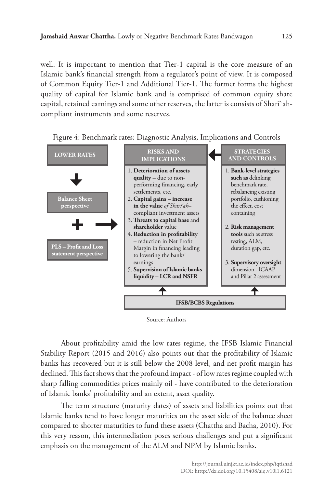well. It is important to mention that Tier-1 capital is the core measure of an Islamic bank's financial strength from a regulator's point of view. It is composed of Common Equity Tier-1 and Additional Tier-1. The former forms the highest quality of capital for Islamic bank and is comprised of common equity share capital, retained earnings and some other reserves, the latter is consists of Sharī`ahcompliant instruments and some reserves.



Figure 4: Benchmark rates: Diagnostic Analysis, Implications and Controls

Source: Authors

About profitability amid the low rates regime, the IFSB Islamic Financial Stability Report (2015 and 2016) also points out that the profitability of Islamic banks has recovered but it is still below the 2008 level, and net profit margin has declined. This fact shows that the profound impact - of low rates regime coupled with sharp falling commodities prices mainly oil - have contributed to the deterioration of Islamic banks' profitability and an extent, asset quality.

The term structure (maturity dates) of assets and liabilities points out that Islamic banks tend to have longer maturities on the asset side of the balance sheet compared to shorter maturities to fund these assets (Chattha and Bacha, 2010). For this very reason, this intermediation poses serious challenges and put a significant emphasis on the management of the ALM and NPM by Islamic banks.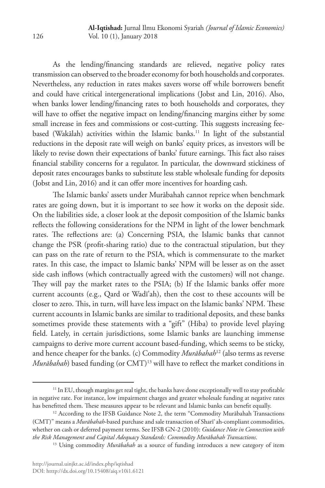As the lending/financing standards are relieved, negative policy rates transmission can observed to the broader economy for both households and corporates. Nevertheless, any reduction in rates makes savers worse off while borrowers benefit and could have critical intergenerational implications (Jobst and Lin, 2016). Also, when banks lower lending/financing rates to both households and corporates, they will have to offset the negative impact on lending/financing margins either by some small increase in fees and commissions or cost-cutting. This suggests increasing feebased (Wakālah) activities within the Islamic banks.<sup>11</sup> In light of the substantial reductions in the deposit rate will weigh on banks' equity prices, as investors will be likely to revise down their expectations of banks' future earnings. This fact also raises financial stability concerns for a regulator. In particular, the downward stickiness of deposit rates encourages banks to substitute less stable wholesale funding for deposits (Jobst and Lin, 2016) and it can offer more incentives for hoarding cash.

The Islamic banks' assets under Murābahah cannot reprice when benchmark rates are going down, but it is important to see how it works on the deposit side. On the liabilities side, a closer look at the deposit composition of the Islamic banks reflects the following considerations for the NPM in light of the lower benchmark rates. The reflections are: (a) Concerning PSIA, the Islamic banks that cannot change the PSR (profit-sharing ratio) due to the contractual stipulation, but they can pass on the rate of return to the PSIA, which is commensurate to the market rates. In this case, the impact to Islamic banks' NPM will be lesser as on the asset side cash inflows (which contractually agreed with the customers) will not change. They will pay the market rates to the PSIA; (b) If the Islamic banks offer more current accounts (e.g., Qard or Wadī'ah), then the cost to these accounts will be closer to zero. This, in turn, will have less impact on the Islamic banks' NPM. These current accounts in Islamic banks are similar to traditional deposits, and these banks sometimes provide these statements with a "gift" (Hiba) to provide level playing field. Lately, in certain jurisdictions, some Islamic banks are launching immense campaigns to derive more current account based-funding, which seems to be sticky, and hence cheaper for the banks. (c) Commodity *Murābahah*12 (also terms as reverse *Murābahah*) based funding (or CMT)<sup>13</sup> will have to reflect the market conditions in

<sup>&</sup>lt;sup>11</sup> In EU, though margins get real tight, the banks have done exceptionally well to stay profitable in negative rate. For instance, low impairment charges and greater wholesale funding at negative rates has benefitted them. These measures appear to be relevant and Islamic banks can benefit equally.<br><sup>12</sup> According to the IFSB Guidance Note 2, the term "Commodity Murābahah Transactions"

<sup>(</sup>CMT)" means a *Murābahah*-based purchase and sale transaction of Sharī`ah-compliant commodities, whether on cash or deferred payment terms. See IFSB GN-2 (2010): *Guidance Note in Connection with the Risk Management and Capital Adequacy Standards: Commodity Murābahah Transactions*.

<sup>&</sup>lt;sup>13</sup> Using commodity *Murābahah* as a source of funding introduces a new category of item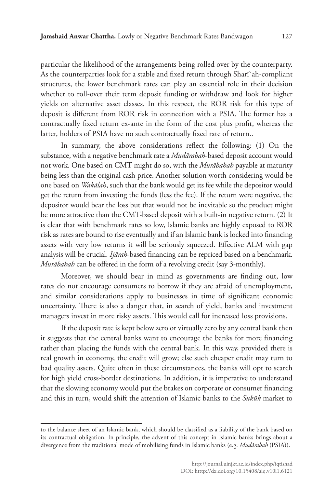particular the likelihood of the arrangements being rolled over by the counterparty. As the counterparties look for a stable and fixed return through Sharī`ah-compliant structures, the lower benchmark rates can play an essential role in their decision whether to roll-over their term deposit funding or withdraw and look for higher yields on alternative asset classes. In this respect, the ROR risk for this type of deposit is different from ROR risk in connection with a PSIA. The former has a contractually fixed return ex-ante in the form of the cost plus profit, whereas the latter, holders of PSIA have no such contractually fixed rate of return..

In summary, the above considerations reflect the following: (1) On the substance, with a negative benchmark rate a *Mudārabah*-based deposit account would not work. One based on CMT might do so, with the *Murābahah* payable at maturity being less than the original cash price. Another solution worth considering would be one based on *Wakālah*, such that the bank would get its fee while the depositor would get the return from investing the funds (less the fee). If the return were negative, the depositor would bear the loss but that would not be inevitable so the product might be more attractive than the CMT-based deposit with a built-in negative return. (2) It is clear that with benchmark rates so low, Islamic banks are highly exposed to ROR risk as rates are bound to rise eventually and if an Islamic bank is locked into financing assets with very low returns it will be seriously squeezed. Effective ALM with gap analysis will be crucial. *Ijārah*-based financing can be repriced based on a benchmark. *Murābahah* can be offered in the form of a revolving credit (say 3-monthly).

Moreover, we should bear in mind as governments are finding out, low rates do not encourage consumers to borrow if they are afraid of unemployment, and similar considerations apply to businesses in time of significant economic uncertainty. There is also a danger that, in search of yield, banks and investment managers invest in more risky assets. This would call for increased loss provisions.

If the deposit rate is kept below zero or virtually zero by any central bank then it suggests that the central banks want to encourage the banks for more financing rather than placing the funds with the central bank. In this way, provided there is real growth in economy, the credit will grow; else such cheaper credit may turn to bad quality assets. Quite often in these circumstances, the banks will opt to search for high yield cross-border destinations. In addition, it is imperative to understand that the slowing economy would put the brakes on corporate or consumer financing and this in turn, would shift the attention of Islamic banks to the *Sukūk* market to

to the balance sheet of an Islamic bank, which should be classified as a liability of the bank based on its contractual obligation. In principle, the advent of this concept in Islamic banks brings about a divergence from the traditional mode of mobilising funds in Islamic banks (e.g. *Mudārabah* (PSIA)).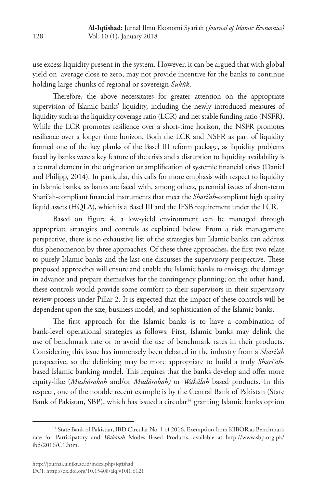use excess liquidity present in the system. However, it can be argued that with global yield on average close to zero, may not provide incentive for the banks to continue holding large chunks of regional or sovereign *Sukūk*.

Therefore, the above necessitates for greater attention on the appropriate supervision of Islamic banks' liquidity, including the newly introduced measures of liquidity such as the liquidity coverage ratio (LCR) and net stable funding ratio (NSFR). While the LCR promotes resilience over a short-time horizon, the NSFR promotes resilience over a longer time horizon. Both the LCR and NSFR as part of liquidity formed one of the key planks of the Basel III reform package, as liquidity problems faced by banks were a key feature of the crisis and a disruption to liquidity availability is a central element in the origination or amplification of systemic financial crises (Daniel and Philipp, 2014). In particular, this calls for more emphasis with respect to liquidity in Islamic banks, as banks are faced with, among others, perennial issues of short-term Shari'ah-compliant financial instruments that meet the *Shari'ah*-compliant high quality liquid assets (HQLA), which is a Basel III and the IFSB requirement under the LCR.

Based on Figure 4, a low-yield environment can be managed through appropriate strategies and controls as explained below. From a risk management perspective, there is no exhaustive list of the strategies but Islamic banks can address this phenomenon by three approaches. Of these three approaches, the first two relate to purely Islamic banks and the last one discusses the supervisory perspective. These proposed approaches will ensure and enable the Islamic banks to envisage the damage in advance and prepare themselves for the contingency planning; on the other hand, these controls would provide some comfort to their supervisors in their supervisory review process under Pillar 2. It is expected that the impact of these controls will be dependent upon the size, business model, and sophistication of the Islamic banks.

The first approach for the Islamic banks is to have a combination of bank-level operational strategies as follows: First, Islamic banks may delink the use of benchmark rate or to avoid the use of benchmark rates in their products. Considering this issue has immensely been debated in the industry from a *Shari'ah* perspective, so the delinking may be more appropriate to build a truly *Shari'ah*based Islamic banking model. This requires that the banks develop and offer more equity-like (*Mushārakah* and/or *Mudārabah)* or *Wakālah* based products. In this respect, one of the notable recent example is by the Central Bank of Pakistan (State Bank of Pakistan, SBP), which has issued a circular<sup>14</sup> granting Islamic banks option

<sup>&</sup>lt;sup>14</sup> State Bank of Pakistan, IBD Circular No. 1 of 2016, Exemption from KIBOR as Benchmark rate for Participatory and *Wakālah* Modes Based Products, available at http://www.sbp.org.pk/ ibd/2016/C1.htm.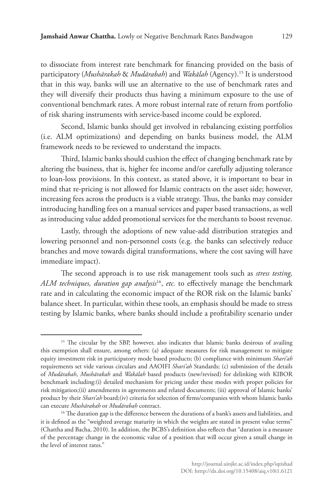to dissociate from interest rate benchmark for financing provided on the basis of participatory (*Mushārakah* & *Mudārabah*) and *Wakālah* (Agency).15 It is understood that in this way, banks will use an alternative to the use of benchmark rates and they will diversify their products thus having a minimum exposure to the use of conventional benchmark rates. A more robust internal rate of return from portfolio of risk sharing instruments with service-based income could be explored.

Second, Islamic banks should get involved in rebalancing existing portfolios (i.e. ALM optimizations) and depending on banks business model, the ALM framework needs to be reviewed to understand the impacts.

Third, Islamic banks should cushion the effect of changing benchmark rate by altering the business, that is, higher fee income and/or carefully adjusting tolerance to loan-loss provisions. In this context, as stated above, it is important to bear in mind that re-pricing is not allowed for Islamic contracts on the asset side; however, increasing fees across the products is a viable strategy. Thus, the banks may consider introducing handling fees on a manual services and paper based transactions, as well as introducing value added promotional services for the merchants to boost revenue.

Lastly, through the adoptions of new value-add distribution strategies and lowering personnel and non-personnel costs (e.g. the banks can selectively reduce branches and move towards digital transformations, where the cost saving will have immediate impact).

The second approach is to use risk management tools such as *stress testing, ALM techniques, duration gap analysis*16, *etc.* to effectively manage the benchmark rate and in calculating the economic impact of the ROR risk on the Islamic banks' balance sheet. In particular, within these tools, an emphasis should be made to stress testing by Islamic banks, where banks should include a profitability scenario under

<sup>&</sup>lt;sup>15</sup> The circular by the SBP, however, also indicates that Islamic banks desirous of availing this exemption shall ensure, among others: (a) adequate measures for risk management to mitigate equity investment risk in participatory mode based products; (b) compliance with minimum *Shari'ah* requirements set vide various circulars and AAOIFI *Shari'ah* Standards; (c) submission of the details of *Mudārabah*, *Mushārakah* and *Wakālah* based products (new/revised) for delinking with KIBOR benchmark including:(i) detailed mechanism for pricing under these modes with proper policies for risk mitigation;(ii) amendments in agreements and related documents; (iii) approval of Islamic banks' product by their *Shari'ah* board;(iv) criteria for selection of firms/companies with whom Islamic banks can execute *Mushārakah* or *Mudārabah* contract.

<sup>&</sup>lt;sup>16</sup> The duration gap is the difference between the durations of a bank's assets and liabilities, and it is defined as the "weighted average maturity in which the weights are stated in present value terms" (Chattha and Bacha, 2010). In addition, the BCBS's definition also reflects that "duration is a measure of the percentage change in the economic value of a position that will occur given a small change in the level of interest rates."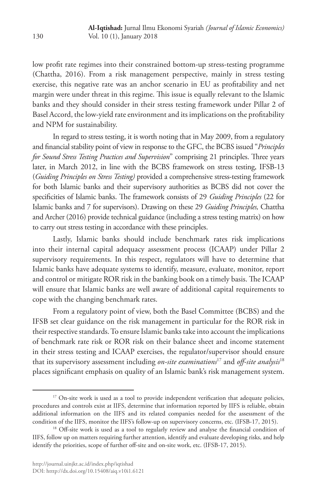low profit rate regimes into their constrained bottom-up stress-testing programme (Chattha, 2016). From a risk management perspective, mainly in stress testing exercise, this negative rate was an anchor scenario in EU as profitability and net margin were under threat in this regime. This issue is equally relevant to the Islamic banks and they should consider in their stress testing framework under Pillar 2 of Basel Accord, the low-yield rate environment and its implications on the profitability and NPM for sustainability.

In regard to stress testing, it is worth noting that in May 2009, from a regulatory and financial stability point of view in response to the GFC, the BCBS issued "*Principles for Sound Stress Testing Practices and Supervision*" comprising 21 principles. Three years later, in March 2012, in line with the BCBS framework on stress testing, IFSB-13 (*Guiding Principles on Stress Testing)* provided a comprehensive stress-testing framework for both Islamic banks and their supervisory authorities as BCBS did not cover the specificities of Islamic banks. The framework consists of 29 *Guiding Principles* (22 for Islamic banks and 7 for supervisors). Drawing on these 29 *Guiding Principles,* Chattha and Archer (2016) provide technical guidance (including a stress testing matrix) on how to carry out stress testing in accordance with these principles.

Lastly, Islamic banks should include benchmark rates risk implications into their internal capital adequacy assessment process (ICAAP) under Pillar 2 supervisory requirements. In this respect, regulators will have to determine that Islamic banks have adequate systems to identify, measure, evaluate, monitor, report and control or mitigate ROR risk in the banking book on a timely basis. The ICAAP will ensure that Islamic banks are well aware of additional capital requirements to cope with the changing benchmark rates.

From a regulatory point of view, both the Basel Committee (BCBS) and the IFSB set clear guidance on the risk management in particular for the ROR risk in their respective standards. To ensure Islamic banks take into account the implications of benchmark rate risk or ROR risk on their balance sheet and income statement in their stress testing and ICAAP exercises, the regulator/supervisor should ensure that its supervisory assessment including *on-site examinations*17 and *off-site analysis*<sup>18</sup> places significant emphasis on quality of an Islamic bank's risk management system.

<sup>&</sup>lt;sup>17</sup> On-site work is used as a tool to provide independent verification that adequate policies, procedures and controls exist at IIFS, determine that information reported by IIFS is reliable, obtain additional information on the IIFS and its related companies needed for the assessment of the condition of the IIFS, monitor the IIFS's follow-up on supervisory concerns, etc. (IFSB-17, 2015). 18 Off-site work is used as a tool to regularly review and analyse the financial condition of

IIFS, follow up on matters requiring further attention, identify and evaluate developing risks, and help identify the priorities, scope of further off-site and on-site work, etc. (IFSB-17, 2015).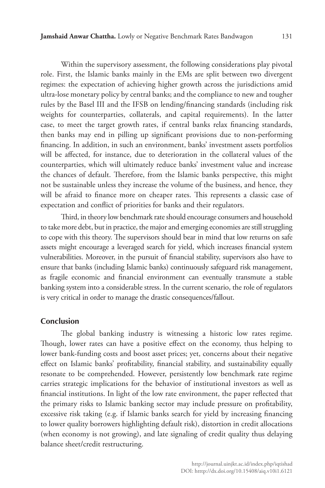Within the supervisory assessment, the following considerations play pivotal role. First, the Islamic banks mainly in the EMs are split between two divergent regimes: the expectation of achieving higher growth across the jurisdictions amid ultra-lose monetary policy by central banks; and the compliance to new and tougher rules by the Basel III and the IFSB on lending/financing standards (including risk weights for counterparties, collaterals, and capital requirements). In the latter case, to meet the target growth rates, if central banks relax financing standards, then banks may end in pilling up significant provisions due to non-performing financing. In addition, in such an environment, banks' investment assets portfolios will be affected, for instance, due to deterioration in the collateral values of the counterparties, which will ultimately reduce banks' investment value and increase the chances of default. Therefore, from the Islamic banks perspective, this might not be sustainable unless they increase the volume of the business, and hence, they will be afraid to finance more on cheaper rates. This represents a classic case of expectation and conflict of priorities for banks and their regulators.

Third, in theory low benchmark rate should encourage consumers and household to take more debt, but in practice, the major and emerging economies are still struggling to cope with this theory. The supervisors should bear in mind that low returns on safe assets might encourage a leveraged search for yield, which increases financial system vulnerabilities. Moreover, in the pursuit of financial stability, supervisors also have to ensure that banks (including Islamic banks) continuously safeguard risk management, as fragile economic and financial environment can eventually transmute a stable banking system into a considerable stress. In the current scenario, the role of regulators is very critical in order to manage the drastic consequences/fallout.

#### **Conclusion**

The global banking industry is witnessing a historic low rates regime. Though, lower rates can have a positive effect on the economy, thus helping to lower bank-funding costs and boost asset prices; yet, concerns about their negative effect on Islamic banks' profitability, financial stability, and sustainability equally resonate to be comprehended. However, persistently low benchmark rate regime carries strategic implications for the behavior of institutional investors as well as financial institutions. In light of the low rate environment, the paper reflected that the primary risks to Islamic banking sector may include pressure on profitability, excessive risk taking (e.g. if Islamic banks search for yield by increasing financing to lower quality borrowers highlighting default risk), distortion in credit allocations (when economy is not growing), and late signaling of credit quality thus delaying balance sheet/credit restructuring.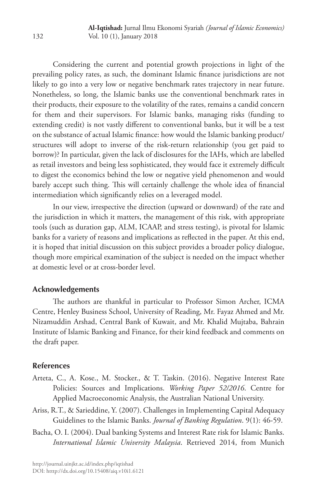Considering the current and potential growth projections in light of the prevailing policy rates, as such, the dominant Islamic finance jurisdictions are not likely to go into a very low or negative benchmark rates trajectory in near future. Nonetheless, so long, the Islamic banks use the conventional benchmark rates in their products, their exposure to the volatility of the rates, remains a candid concern for them and their supervisors. For Islamic banks, managing risks (funding to extending credit) is not vastly different to conventional banks, but it will be a test on the substance of actual Islamic finance: how would the Islamic banking product/ structures will adopt to inverse of the risk-return relationship (you get paid to borrow)? In particular, given the lack of disclosures for the IAHs, which are labelled as retail investors and being less sophisticated, they would face it extremely difficult to digest the economics behind the low or negative yield phenomenon and would barely accept such thing. This will certainly challenge the whole idea of financial intermediation which significantly relies on a leveraged model.

In our view, irrespective the direction (upward or downward) of the rate and the jurisdiction in which it matters, the management of this risk, with appropriate tools (such as duration gap, ALM, ICAAP, and stress testing), is pivotal for Islamic banks for a variety of reasons and implications as reflected in the paper. At this end, it is hoped that initial discussion on this subject provides a broader policy dialogue, though more empirical examination of the subject is needed on the impact whether at domestic level or at cross-border level.

### **Acknowledgements**

The authors are thankful in particular to Professor Simon Archer, ICMA Centre, Henley Business School, University of Reading, Mr. Fayaz Ahmed and Mr. Nizamuddin Arshad, Central Bank of Kuwait, and Mr. Khalid Mujtaba, Bahrain Institute of Islamic Banking and Finance, for their kind feedback and comments on the draft paper.

#### **References**

- Arteta, C., A. Kose., M. Stocker., & T. Taskin. (2016). Negative Interest Rate Policies: Sources and Implications. *Working Paper 52/2016*. Centre for Applied Macroeconomic Analysis, the Australian National University.
- Ariss, R.T., & Sarieddine, Y. (2007). Challenges in Implementing Capital Adequacy Guidelines to the Islamic Banks. *Journal of Banking Regulation*. 9(1): 46-59.
- Bacha, O. I. (2004). Dual banking Systems and Interest Rate risk for Islamic Banks. *International Islamic University Malaysia*. Retrieved 2014, from Munich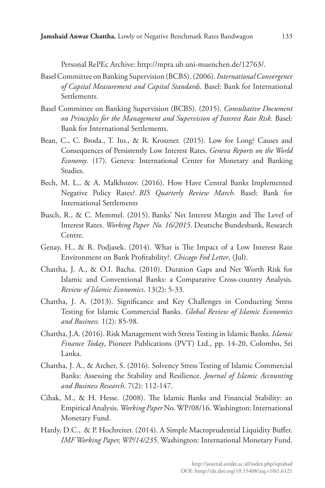Personal RePEc Archive: http://mpra.ub.uni-muenchen.de/12763/.

- Basel Committee on Banking Supervision (BCBS). (2006). *International Convergence of Capital Measurement and Capital Standards*. Basel: Bank for International Settlements.
- Basel Committee on Banking Supervision (BCBS). (2015). *Consultative Document on Principles for the Management and Supervision of Interest Rate Risk*. Basel: Bank for International Settlements.
- Bean, C., C. Broda., T. Ito., & R. Kroszner. (2015). Low for Long? Causes and Consequences of Persistently Low Interest Rates. *Geneva Reports on the World Economy*. (17). Geneva: International Center for Monetary and Banking Studies.
- Bech, M. L., & A. Malkhozov. (2016). How Have Central Banks Implemented Negative Policy Rates?. *BIS Quarterly Review March*. Basel: Bank for International Settlements
- Busch, R., & C. Memmel. (2015). Banks' Net Interest Margin and The Level of Interest Rates. *Working Paper No. 16/2015*. Deutsche Bundesbank, Research Centre.
- Genay, H., & R. Podjasek. (2014). What is The Impact of a Low Interest Rate Environment on Bank Profitability?. *Chicago Fed Letter*, (Jul).
- Chattha, J. A., & O.I. Bacha. (2010). Duration Gaps and Net Worth Risk for Islamic and Conventional Banks: a Comparative Cross-country Analysis. *Review of Islamic Economics*. 13(2): 5-33.
- Chattha, J. A. (2013). Significance and Key Challenges in Conducting Stress Testing for Islamic Commercial Banks. *Global Review of Islamic Economics and Business.* 1(2): 85-98.
- Chattha, J.A. (2016). Risk Management with Stress Testing in Islamic Banks. *Islamic Finance Today*, Pioneer Publications (PVT) Ltd., pp. 14-20, Colombo, Sri Lanka.
- Chattha, J. A., & Archer, S. (2016). Solvency Stress Testing of Islamic Commercial Banks: Assessing the Stability and Resilience. *Journal of Islamic Accounting and Business Research*. 7(2): 112-147.
- Cihak, M., & H. Hesse. (2008). The Islamic Banks and Financial Stability: an Empirical Analysis. *Working Paper* No. WP/08/16. Washington: International Monetary Fund.
- Hardy, D.C., & P. Hochreiter. (2014). A Simple Macroprudential Liquidity Buffer. *IMF Working Paper, WP/14/235*. Washington: International Monetary Fund.